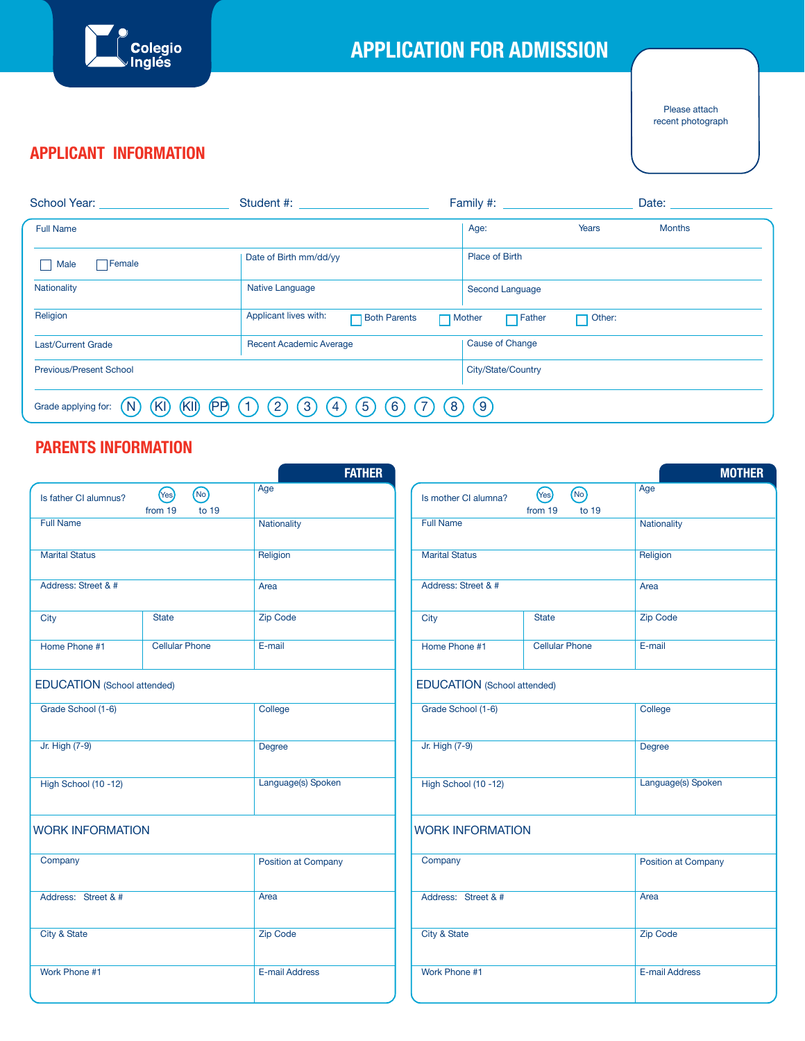

# **APPLICATION FOR ADMISSION**

 Please attach recent photograph

# **APPLICANT INFORMATION**

| School Year:                                                                                                                                                   | Student #: All and the student will be a strong of the structure of the structure of the structure of the structure of the structure of the structure of the structure of the structure of the structure of the structure of t |                                          | Date:         |
|----------------------------------------------------------------------------------------------------------------------------------------------------------------|--------------------------------------------------------------------------------------------------------------------------------------------------------------------------------------------------------------------------------|------------------------------------------|---------------|
| <b>Full Name</b>                                                                                                                                               |                                                                                                                                                                                                                                | Age:<br><b>Years</b>                     | <b>Months</b> |
| $\Box$ Female<br>Male                                                                                                                                          | Date of Birth mm/dd/yy                                                                                                                                                                                                         | Place of Birth                           |               |
| <b>Nationality</b>                                                                                                                                             | <b>Native Language</b>                                                                                                                                                                                                         | Second Language                          |               |
| Religion                                                                                                                                                       | Applicant lives with:<br><b>Both Parents</b>                                                                                                                                                                                   | $\Box$ Father<br>Other:<br>$\Box$ Mother |               |
| <b>Last/Current Grade</b>                                                                                                                                      | <b>Recent Academic Average</b>                                                                                                                                                                                                 | <b>Cause of Change</b>                   |               |
| <b>Previous/Present School</b>                                                                                                                                 |                                                                                                                                                                                                                                | City/State/Country                       |               |
| (KI)<br>(PP)<br>$\left(5\right)$<br>$\left[9\right)$<br>$\boxed{2}$<br>$\left  \cdot \right $<br>6<br>8<br>(KI)<br>Grade applying for:<br>$\overline{4}$<br>N. |                                                                                                                                                                                                                                |                                          |               |

# **PARENTS INFORMATION**

|                                    |                                   | <b>FATHER</b>       |                         |                                    |  |
|------------------------------------|-----------------------------------|---------------------|-------------------------|------------------------------------|--|
| Is father CI alumnus?              | (No)<br>(Yes)<br>to 19<br>from 19 | Age                 | Is mother CI alumna?    | (Yes)<br>(No<br>from 19<br>t       |  |
| <b>Full Name</b>                   |                                   | Nationality         | <b>Full Name</b>        |                                    |  |
| <b>Marital Status</b>              |                                   | Religion            | <b>Marital Status</b>   |                                    |  |
| Address: Street & #                |                                   | Area                | Address: Street & #     |                                    |  |
| City                               | <b>State</b>                      | <b>Zip Code</b>     | City                    | <b>State</b>                       |  |
| Home Phone #1                      | <b>Cellular Phone</b>             | E-mail              | Home Phone #1           | <b>Cellular Phor</b>               |  |
| <b>EDUCATION</b> (School attended) |                                   |                     |                         | <b>EDUCATION</b> (School attended) |  |
| Grade School (1-6)                 |                                   | College             | Grade School (1-6)      |                                    |  |
| Jr. High (7-9)                     |                                   | Degree              | Jr. High (7-9)          |                                    |  |
| High School (10-12)                |                                   | Language(s) Spoken  | High School (10-12)     |                                    |  |
| <b>WORK INFORMATION</b>            |                                   |                     | <b>WORK INFORMATION</b> |                                    |  |
| Company                            |                                   | Position at Company | Company                 |                                    |  |
| Address: Street & #                |                                   | Area                | Address: Street & #     |                                    |  |
| City & State                       |                                   | <b>Zip Code</b>     | <b>City &amp; State</b> |                                    |  |
| Work Phone #1                      |                                   | E-mail Address      | Work Phone #1           |                                    |  |
|                                    |                                   |                     |                         |                                    |  |

|                                    |                                   | <b>MOTHER</b>       |  |  |
|------------------------------------|-----------------------------------|---------------------|--|--|
| Is mother CI alumna?               | (No)<br>(Yes)<br>to 19<br>from 19 | Age                 |  |  |
| <b>Full Name</b>                   |                                   | Nationality         |  |  |
| <b>Marital Status</b>              |                                   | Religion            |  |  |
| Address: Street & #                |                                   | Area                |  |  |
| City                               | <b>State</b>                      | <b>Zip Code</b>     |  |  |
| Home Phone #1                      | <b>Cellular Phone</b>             | E-mail              |  |  |
| <b>EDUCATION</b> (School attended) |                                   |                     |  |  |
| Grade School (1-6)                 |                                   | College             |  |  |
| Jr. High (7-9)                     |                                   | Degree              |  |  |
| High School (10-12)                |                                   | Language(s) Spoken  |  |  |
| <b>WORK INFORMATION</b>            |                                   |                     |  |  |
| Company                            |                                   | Position at Company |  |  |
| Address: Street & #                |                                   | Area                |  |  |
| <b>City &amp; State</b>            |                                   | <b>Zip Code</b>     |  |  |
| Work Phone #1                      |                                   | E-mail Address      |  |  |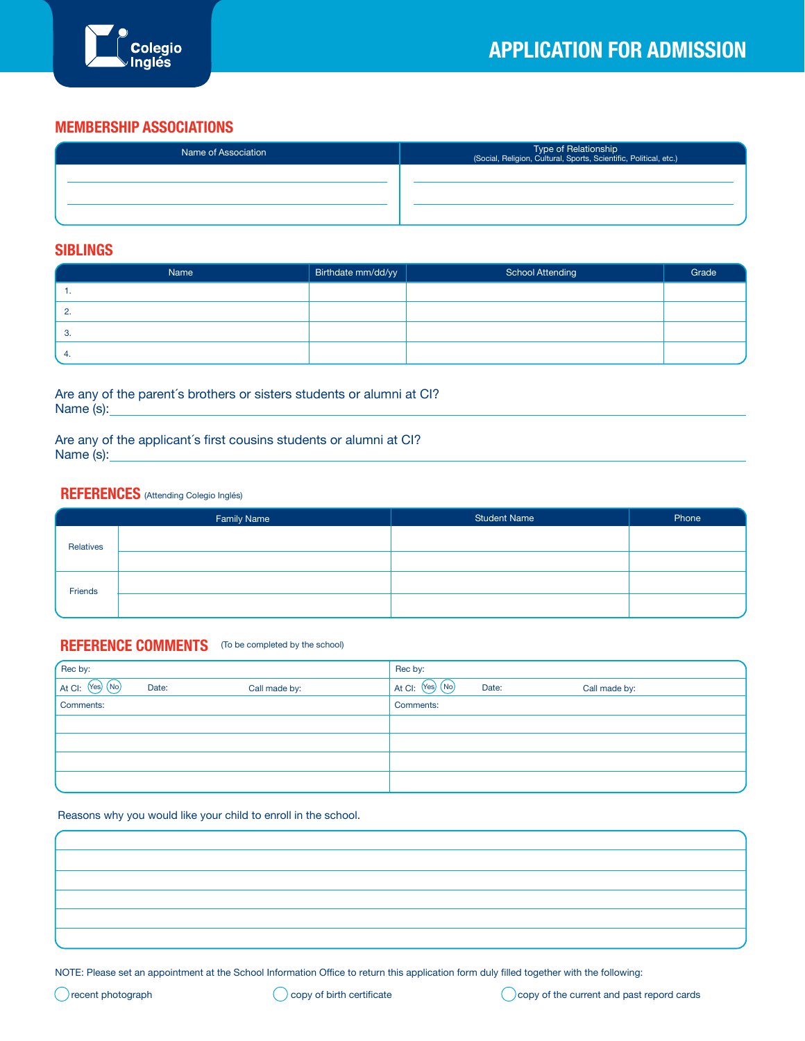

#### **MEMBERSHIP ASSOCIATIONS**

| Name of Association | Type of Relationship<br>(Social, Religion, Cultural, Sports, Scientific, Political, etc.) |
|---------------------|-------------------------------------------------------------------------------------------|
|                     |                                                                                           |
|                     |                                                                                           |
|                     |                                                                                           |

#### **SIBLINGS**

| Name       | Birthdate mm/dd/yy | <b>School Attending</b> | Grade |
|------------|--------------------|-------------------------|-------|
| . .        |                    |                         |       |
| <u>. .</u> |                    |                         |       |
|            |                    |                         |       |
|            |                    |                         |       |

Are any of the parent´s brothers or sisters students or alumni at CI? Name (s):

Are any of the applicant´s first cousins students or alumni at CI? Name (s):

#### **REFERENCES** (Attending Colegio Inglés)

|           | <b>Family Name</b> | <b>Student Name</b> | Phone |
|-----------|--------------------|---------------------|-------|
| Relatives |                    |                     |       |
|           |                    |                     |       |
| Friends   |                    |                     |       |
|           |                    |                     |       |

#### **REFERENCE COMMENTS** (To be completed by the school)

| Rec by:           |       |               | Rec by:           |       |               |
|-------------------|-------|---------------|-------------------|-------|---------------|
| At CI: (Yes) (No) | Date: | Call made by: | At CI: (Yes) (No) | Date: | Call made by: |
| Comments:         |       |               | Comments:         |       |               |
|                   |       |               |                   |       |               |
|                   |       |               |                   |       |               |
|                   |       |               |                   |       |               |
|                   |       |               |                   |       |               |

Reasons why you would like your child to enroll in the school.

NOTE: Please set an appointment at the School Information Office to return this application form duly filled together with the following: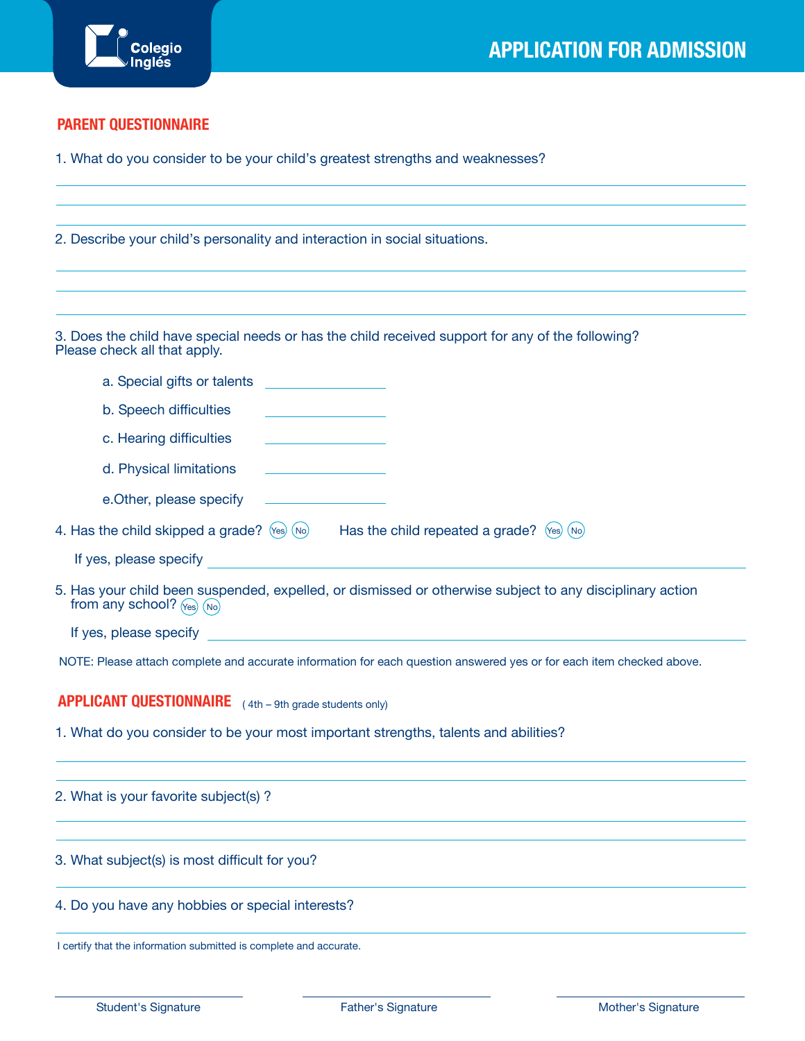

## **PARENT QUESTIONNAIRE**

1. What do you consider to be your child's greatest strengths and weaknesses?

2. Describe your child's personality and interaction in social situations.

3. Does the child have special needs or has the child received support for any of the following? Please check all that apply.

| a. Special gifts or talents                                                                                                                                                                                                    |
|--------------------------------------------------------------------------------------------------------------------------------------------------------------------------------------------------------------------------------|
| b. Speech difficulties                                                                                                                                                                                                         |
| c. Hearing difficulties                                                                                                                                                                                                        |
| d. Physical limitations<br><u> 1980 - Johann Barbara, martxa a</u>                                                                                                                                                             |
| e. Other, please specify                                                                                                                                                                                                       |
| 4. Has the child skipped a grade? $\langle$ es $\rangle$ (No) $\qquad$ Has the child repeated a grade? $\langle$ es $\rangle$ (No)                                                                                             |
| If yes, please specify and the contract of the contract of the contract of the contract of the contract of the contract of the contract of the contract of the contract of the contract of the contract of the contract of the |
| 5. Has your child been suspended, expelled, or dismissed or otherwise subject to any disciplinary action<br>from any school? $\sqrt{N_{es}}$ $\sqrt{N_{0}}$                                                                    |
| If yes, please specify and the state of the state of the state of the state of the state of the state of the state of the state of the state of the state of the state of the state of the state of the state of the state of  |
| NOTE: Please attach complete and accurate information for each question answered yes or for each item checked above.                                                                                                           |
| <b>APPLICANT QUESTIONNAIRE</b> (4th – 9th grade students only)                                                                                                                                                                 |
| 1. What do you consider to be your most important strengths, talents and abilities?                                                                                                                                            |
| 2. What is your favorite subject(s)?                                                                                                                                                                                           |
| 3. What subject(s) is most difficult for you?                                                                                                                                                                                  |

- 4. Do you have any hobbies or special interests?
- I certify that the information submitted is complete and accurate.